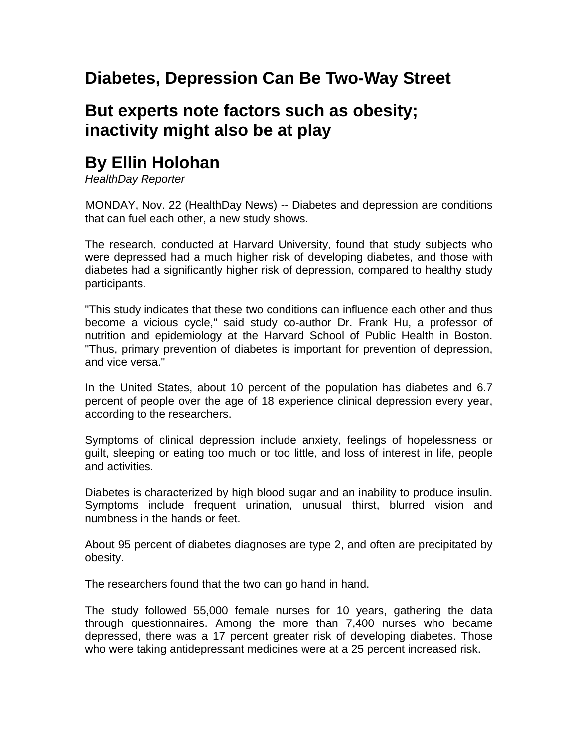## **Diabetes, Depression Can Be Two-Way Street**

## **But experts note factors such as obesity; inactivity might also be at play**

## **By Ellin Holohan**

*HealthDay Reporter*

MONDAY, Nov. 22 (HealthDay News) -- Diabetes and depression are conditions that can fuel each other, a new study shows.

The research, conducted at Harvard University, found that study subjects who were depressed had a much higher risk of developing diabetes, and those with diabetes had a significantly higher risk of depression, compared to healthy study participants.

"This study indicates that these two conditions can influence each other and thus become a vicious cycle," said study co-author Dr. Frank Hu, a professor of nutrition and epidemiology at the Harvard School of Public Health in Boston. "Thus, primary prevention of diabetes is important for prevention of depression, and vice versa."

In the United States, about 10 percent of the population has diabetes and 6.7 percent of people over the age of 18 experience clinical depression every year, according to the researchers.

Symptoms of clinical depression include anxiety, feelings of hopelessness or guilt, sleeping or eating too much or too little, and loss of interest in life, people and activities.

Diabetes is characterized by high blood sugar and an inability to produce insulin. Symptoms include frequent urination, unusual thirst, blurred vision and numbness in the hands or feet.

About 95 percent of diabetes diagnoses are type 2, and often are precipitated by obesity.

The researchers found that the two can go hand in hand.

The study followed 55,000 female nurses for 10 years, gathering the data through questionnaires. Among the more than 7,400 nurses who became depressed, there was a 17 percent greater risk of developing diabetes. Those who were taking antidepressant medicines were at a 25 percent increased risk.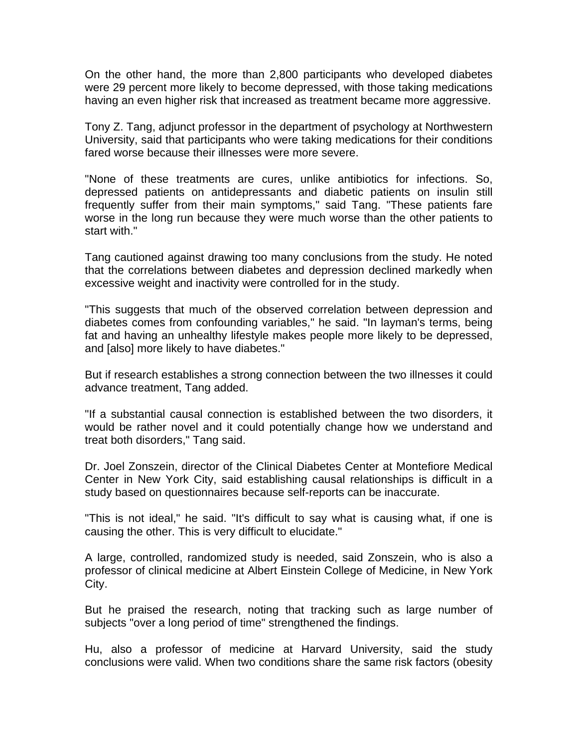On the other hand, the more than 2,800 participants who developed diabetes were 29 percent more likely to become depressed, with those taking medications having an even higher risk that increased as treatment became more aggressive.

Tony Z. Tang, adjunct professor in the department of psychology at Northwestern University, said that participants who were taking medications for their conditions fared worse because their illnesses were more severe.

"None of these treatments are cures, unlike antibiotics for infections. So, depressed patients on antidepressants and diabetic patients on insulin still frequently suffer from their main symptoms," said Tang. "These patients fare worse in the long run because they were much worse than the other patients to start with."

Tang cautioned against drawing too many conclusions from the study. He noted that the correlations between diabetes and depression declined markedly when excessive weight and inactivity were controlled for in the study.

"This suggests that much of the observed correlation between depression and diabetes comes from confounding variables," he said. "In layman's terms, being fat and having an unhealthy lifestyle makes people more likely to be depressed, and [also] more likely to have diabetes."

But if research establishes a strong connection between the two illnesses it could advance treatment, Tang added.

"If a substantial causal connection is established between the two disorders, it would be rather novel and it could potentially change how we understand and treat both disorders," Tang said.

Dr. Joel Zonszein, director of the Clinical Diabetes Center at Montefiore Medical Center in New York City, said establishing causal relationships is difficult in a study based on questionnaires because self-reports can be inaccurate.

"This is not ideal," he said. "It's difficult to say what is causing what, if one is causing the other. This is very difficult to elucidate."

A large, controlled, randomized study is needed, said Zonszein, who is also a professor of clinical medicine at Albert Einstein College of Medicine, in New York City.

But he praised the research, noting that tracking such as large number of subjects "over a long period of time" strengthened the findings.

Hu, also a professor of medicine at Harvard University, said the study conclusions were valid. When two conditions share the same risk factors (obesity